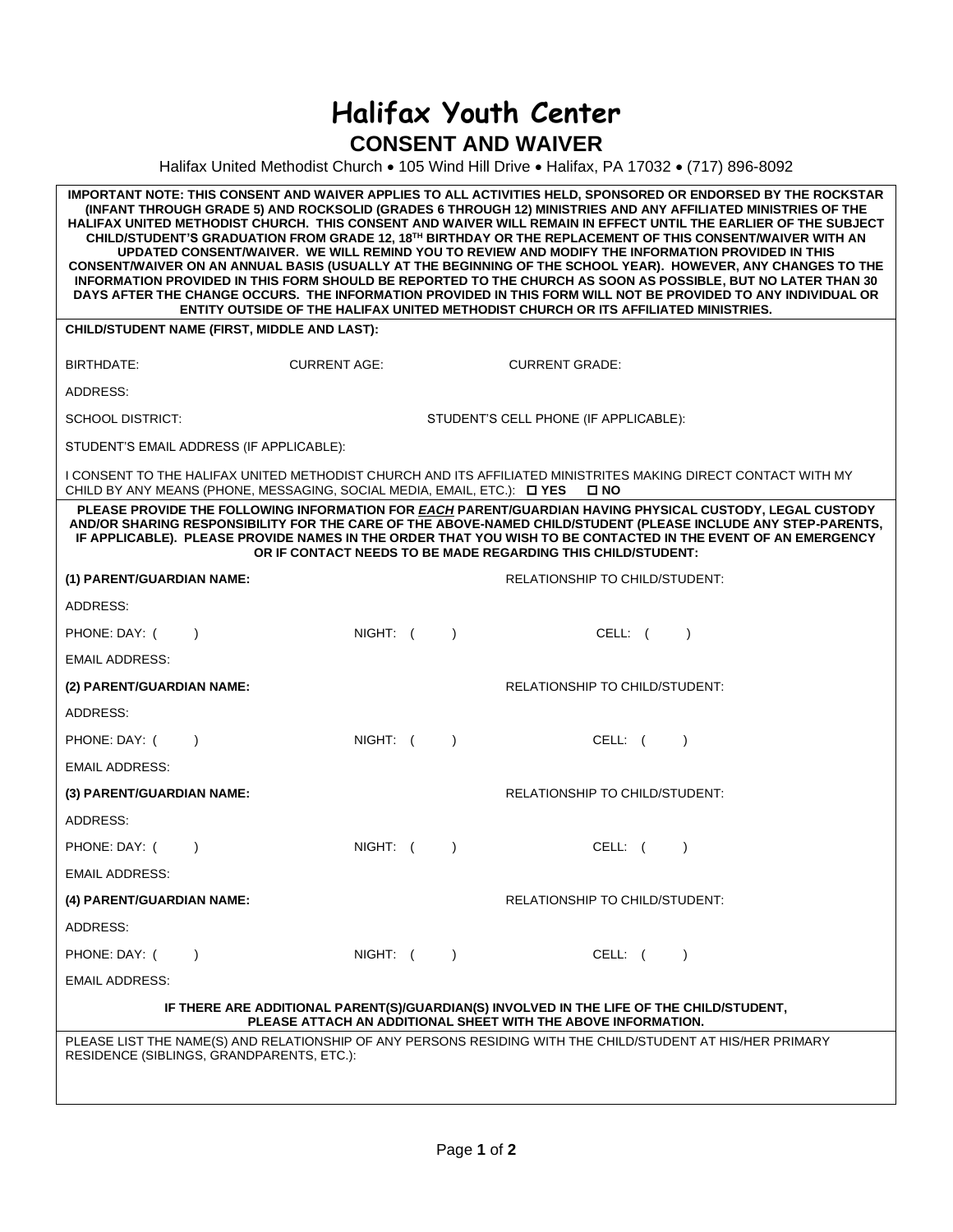## **Halifax Youth Center CONSENT AND WAIVER**

Halifax United Methodist Church • 105 Wind Hill Drive • Halifax, PA 17032 • (717) 896-8092

| IMPORTANT NOTE: THIS CONSENT AND WAIVER APPLIES TO ALL ACTIVITIES HELD, SPONSORED OR ENDORSED BY THE ROCKSTAR<br>(INFANT THROUGH GRADE 5) AND ROCKSOLID (GRADES 6 THROUGH 12) MINISTRIES AND ANY AFFILIATED MINISTRIES OF THE<br>HALIFAX UNITED METHODIST CHURCH. THIS CONSENT AND WAIVER WILL REMAIN IN EFFECT UNTIL THE EARLIER OF THE SUBJECT<br>CHILD/STUDENT'S GRADUATION FROM GRADE 12, 18 <sup>TH</sup> BIRTHDAY OR THE REPLACEMENT OF THIS CONSENT/WAIVER WITH AN<br>UPDATED CONSENT/WAIVER. WE WILL REMIND YOU TO REVIEW AND MODIFY THE INFORMATION PROVIDED IN THIS<br>CONSENT/WAIVER ON AN ANNUAL BASIS (USUALLY AT THE BEGINNING OF THE SCHOOL YEAR). HOWEVER, ANY CHANGES TO THE<br>INFORMATION PROVIDED IN THIS FORM SHOULD BE REPORTED TO THE CHURCH AS SOON AS POSSIBLE, BUT NO LATER THAN 30<br>DAYS AFTER THE CHANGE OCCURS. THE INFORMATION PROVIDED IN THIS FORM WILL NOT BE PROVIDED TO ANY INDIVIDUAL OR<br>ENTITY OUTSIDE OF THE HALIFAX UNITED METHODIST CHURCH OR ITS AFFILIATED MINISTRIES. |                                       |           |                                       |         |           |  |
|-----------------------------------------------------------------------------------------------------------------------------------------------------------------------------------------------------------------------------------------------------------------------------------------------------------------------------------------------------------------------------------------------------------------------------------------------------------------------------------------------------------------------------------------------------------------------------------------------------------------------------------------------------------------------------------------------------------------------------------------------------------------------------------------------------------------------------------------------------------------------------------------------------------------------------------------------------------------------------------------------------------------------|---------------------------------------|-----------|---------------------------------------|---------|-----------|--|
| CHILD/STUDENT NAME (FIRST, MIDDLE AND LAST):                                                                                                                                                                                                                                                                                                                                                                                                                                                                                                                                                                                                                                                                                                                                                                                                                                                                                                                                                                          |                                       |           |                                       |         |           |  |
| BIRTHDATE:<br><b>CURRENT AGE:</b>                                                                                                                                                                                                                                                                                                                                                                                                                                                                                                                                                                                                                                                                                                                                                                                                                                                                                                                                                                                     |                                       |           | <b>CURRENT GRADE:</b>                 |         |           |  |
| ADDRESS:                                                                                                                                                                                                                                                                                                                                                                                                                                                                                                                                                                                                                                                                                                                                                                                                                                                                                                                                                                                                              |                                       |           |                                       |         |           |  |
| <b>SCHOOL DISTRICT:</b>                                                                                                                                                                                                                                                                                                                                                                                                                                                                                                                                                                                                                                                                                                                                                                                                                                                                                                                                                                                               | STUDENT'S CELL PHONE (IF APPLICABLE): |           |                                       |         |           |  |
| STUDENT'S EMAIL ADDRESS (IF APPLICABLE):                                                                                                                                                                                                                                                                                                                                                                                                                                                                                                                                                                                                                                                                                                                                                                                                                                                                                                                                                                              |                                       |           |                                       |         |           |  |
| I CONSENT TO THE HALIFAX UNITED METHODIST CHURCH AND ITS AFFILIATED MINISTRITES MAKING DIRECT CONTACT WITH MY<br>CHILD BY ANY MEANS (PHONE, MESSAGING, SOCIAL MEDIA, EMAIL, ETC.): DYES<br>□ NO                                                                                                                                                                                                                                                                                                                                                                                                                                                                                                                                                                                                                                                                                                                                                                                                                       |                                       |           |                                       |         |           |  |
| PLEASE PROVIDE THE FOLLOWING INFORMATION FOR EACH PARENT/GUARDIAN HAVING PHYSICAL CUSTODY, LEGAL CUSTODY<br>AND/OR SHARING RESPONSIBILITY FOR THE CARE OF THE ABOVE-NAMED CHILD/STUDENT (PLEASE INCLUDE ANY STEP-PARENTS,<br>IF APPLICABLE). PLEASE PROVIDE NAMES IN THE ORDER THAT YOU WISH TO BE CONTACTED IN THE EVENT OF AN EMERGENCY<br>OR IF CONTACT NEEDS TO BE MADE REGARDING THIS CHILD/STUDENT:                                                                                                                                                                                                                                                                                                                                                                                                                                                                                                                                                                                                             |                                       |           |                                       |         |           |  |
| (1) PARENT/GUARDIAN NAME:                                                                                                                                                                                                                                                                                                                                                                                                                                                                                                                                                                                                                                                                                                                                                                                                                                                                                                                                                                                             |                                       |           | <b>RELATIONSHIP TO CHILD/STUDENT:</b> |         |           |  |
| ADDRESS:                                                                                                                                                                                                                                                                                                                                                                                                                                                                                                                                                                                                                                                                                                                                                                                                                                                                                                                                                                                                              |                                       |           |                                       |         |           |  |
| PHONE: DAY: (<br>$\lambda$                                                                                                                                                                                                                                                                                                                                                                                                                                                                                                                                                                                                                                                                                                                                                                                                                                                                                                                                                                                            | NIGHT: (                              | $\lambda$ |                                       | CELL: ( | $\lambda$ |  |
| <b>EMAIL ADDRESS:</b>                                                                                                                                                                                                                                                                                                                                                                                                                                                                                                                                                                                                                                                                                                                                                                                                                                                                                                                                                                                                 |                                       |           |                                       |         |           |  |
| (2) PARENT/GUARDIAN NAME:                                                                                                                                                                                                                                                                                                                                                                                                                                                                                                                                                                                                                                                                                                                                                                                                                                                                                                                                                                                             |                                       |           | RELATIONSHIP TO CHILD/STUDENT:        |         |           |  |
| ADDRESS:                                                                                                                                                                                                                                                                                                                                                                                                                                                                                                                                                                                                                                                                                                                                                                                                                                                                                                                                                                                                              |                                       |           |                                       |         |           |  |
| PHONE: DAY: (<br>$\lambda$                                                                                                                                                                                                                                                                                                                                                                                                                                                                                                                                                                                                                                                                                                                                                                                                                                                                                                                                                                                            | NIGHT: (                              | $\lambda$ |                                       | CELL: ( |           |  |
| <b>EMAIL ADDRESS:</b>                                                                                                                                                                                                                                                                                                                                                                                                                                                                                                                                                                                                                                                                                                                                                                                                                                                                                                                                                                                                 |                                       |           |                                       |         |           |  |
| (3) PARENT/GUARDIAN NAME:                                                                                                                                                                                                                                                                                                                                                                                                                                                                                                                                                                                                                                                                                                                                                                                                                                                                                                                                                                                             |                                       |           | <b>RELATIONSHIP TO CHILD/STUDENT:</b> |         |           |  |
| ADDRESS:                                                                                                                                                                                                                                                                                                                                                                                                                                                                                                                                                                                                                                                                                                                                                                                                                                                                                                                                                                                                              |                                       |           |                                       |         |           |  |
| PHONE: DAY: (<br>$\lambda$                                                                                                                                                                                                                                                                                                                                                                                                                                                                                                                                                                                                                                                                                                                                                                                                                                                                                                                                                                                            | NIGHT: (                              | $\lambda$ |                                       | CELL: ( |           |  |
| <b>EMAIL ADDRESS:</b>                                                                                                                                                                                                                                                                                                                                                                                                                                                                                                                                                                                                                                                                                                                                                                                                                                                                                                                                                                                                 |                                       |           |                                       |         |           |  |
| (4) PARENT/GUARDIAN NAME:                                                                                                                                                                                                                                                                                                                                                                                                                                                                                                                                                                                                                                                                                                                                                                                                                                                                                                                                                                                             |                                       |           | RELATIONSHIP TO CHILD/STUDENT:        |         |           |  |
| ADDRESS:                                                                                                                                                                                                                                                                                                                                                                                                                                                                                                                                                                                                                                                                                                                                                                                                                                                                                                                                                                                                              |                                       |           |                                       |         |           |  |
| PHONE: DAY: (<br>$\lambda$                                                                                                                                                                                                                                                                                                                                                                                                                                                                                                                                                                                                                                                                                                                                                                                                                                                                                                                                                                                            | NIGHT: (                              | $\lambda$ |                                       | CELL: ( | $\lambda$ |  |
| <b>EMAIL ADDRESS:</b>                                                                                                                                                                                                                                                                                                                                                                                                                                                                                                                                                                                                                                                                                                                                                                                                                                                                                                                                                                                                 |                                       |           |                                       |         |           |  |
| IF THERE ARE ADDITIONAL PARENT(S)/GUARDIAN(S) INVOLVED IN THE LIFE OF THE CHILD/STUDENT,<br>PLEASE ATTACH AN ADDITIONAL SHEET WITH THE ABOVE INFORMATION.                                                                                                                                                                                                                                                                                                                                                                                                                                                                                                                                                                                                                                                                                                                                                                                                                                                             |                                       |           |                                       |         |           |  |
| PLEASE LIST THE NAME(S) AND RELATIONSHIP OF ANY PERSONS RESIDING WITH THE CHILD/STUDENT AT HIS/HER PRIMARY<br>RESIDENCE (SIBLINGS, GRANDPARENTS, ETC.):                                                                                                                                                                                                                                                                                                                                                                                                                                                                                                                                                                                                                                                                                                                                                                                                                                                               |                                       |           |                                       |         |           |  |